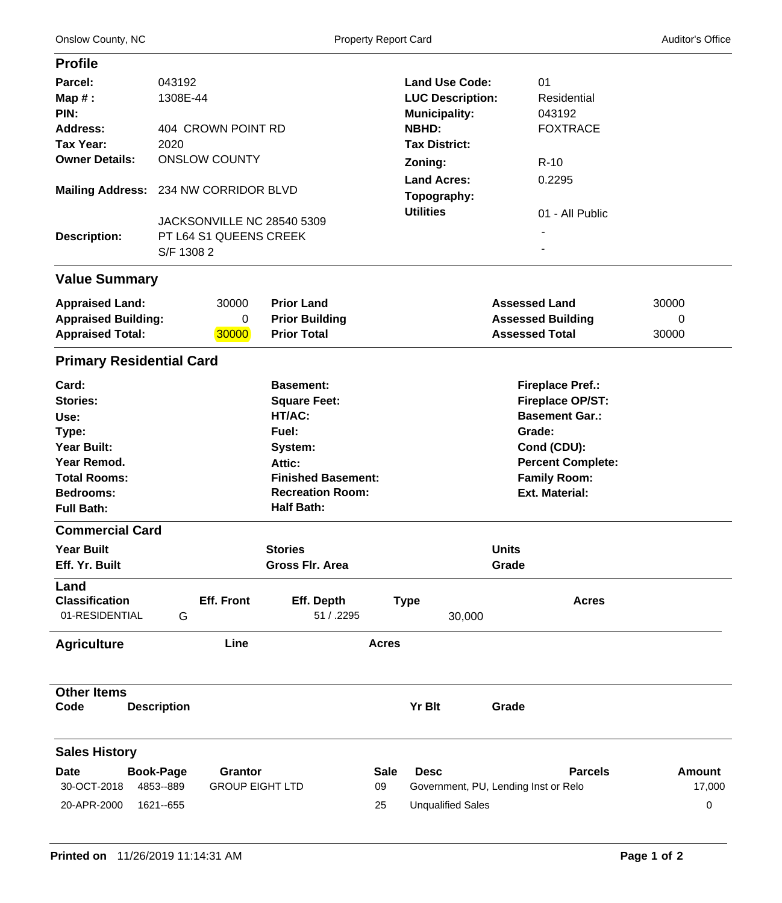| <b>Profile</b>                                                                                                                                 |                                                                    |                                   |                                                                                                                                                              |                         |                                                                                          |                                                                                                                                                                                  |                              |  |  |
|------------------------------------------------------------------------------------------------------------------------------------------------|--------------------------------------------------------------------|-----------------------------------|--------------------------------------------------------------------------------------------------------------------------------------------------------------|-------------------------|------------------------------------------------------------------------------------------|----------------------------------------------------------------------------------------------------------------------------------------------------------------------------------|------------------------------|--|--|
| Parcel:<br>$Map#$ :<br>PIN:<br><b>Address:</b>                                                                                                 | 043192<br>1308E-44<br>404 CROWN POINT RD                           |                                   |                                                                                                                                                              |                         | <b>Land Use Code:</b><br><b>LUC Description:</b><br><b>Municipality:</b><br><b>NBHD:</b> | 01<br>Residential<br>043192<br><b>FOXTRACE</b>                                                                                                                                   |                              |  |  |
| Tax Year:<br><b>Owner Details:</b>                                                                                                             | 2020<br><b>ONSLOW COUNTY</b>                                       |                                   |                                                                                                                                                              |                         | <b>Tax District:</b>                                                                     |                                                                                                                                                                                  |                              |  |  |
|                                                                                                                                                |                                                                    |                                   |                                                                                                                                                              |                         | Zoning:                                                                                  | $R-10$                                                                                                                                                                           |                              |  |  |
|                                                                                                                                                | Mailing Address: 234 NW CORRIDOR BLVD                              |                                   |                                                                                                                                                              |                         | <b>Land Acres:</b><br>Topography:                                                        | 0.2295                                                                                                                                                                           |                              |  |  |
| <b>Description:</b>                                                                                                                            | JACKSONVILLE NC 28540 5309<br>PT L64 S1 QUEENS CREEK<br>S/F 1308 2 |                                   |                                                                                                                                                              |                         | <b>Utilities</b><br>01 - All Public                                                      |                                                                                                                                                                                  |                              |  |  |
| <b>Value Summary</b>                                                                                                                           |                                                                    |                                   |                                                                                                                                                              |                         |                                                                                          |                                                                                                                                                                                  |                              |  |  |
| <b>Appraised Land:</b><br><b>Appraised Building:</b><br><b>Appraised Total:</b>                                                                |                                                                    | 30000<br>0<br>30000               | <b>Prior Land</b><br><b>Prior Building</b><br><b>Prior Total</b>                                                                                             |                         |                                                                                          | <b>Assessed Land</b><br><b>Assessed Building</b><br><b>Assessed Total</b>                                                                                                        | 30000<br>0<br>30000          |  |  |
| <b>Primary Residential Card</b>                                                                                                                |                                                                    |                                   |                                                                                                                                                              |                         |                                                                                          |                                                                                                                                                                                  |                              |  |  |
| Card:<br><b>Stories:</b><br>Use:<br>Type:<br><b>Year Built:</b><br>Year Remod.<br><b>Total Rooms:</b><br><b>Bedrooms:</b><br><b>Full Bath:</b> |                                                                    |                                   | <b>Basement:</b><br><b>Square Feet:</b><br>HT/AC:<br>Fuel:<br>System:<br>Attic:<br><b>Finished Basement:</b><br><b>Recreation Room:</b><br><b>Half Bath:</b> |                         |                                                                                          | <b>Fireplace Pref.:</b><br><b>Fireplace OP/ST:</b><br><b>Basement Gar.:</b><br>Grade:<br>Cond (CDU):<br><b>Percent Complete:</b><br><b>Family Room:</b><br><b>Ext. Material:</b> |                              |  |  |
| <b>Commercial Card</b>                                                                                                                         |                                                                    |                                   |                                                                                                                                                              |                         |                                                                                          |                                                                                                                                                                                  |                              |  |  |
| <b>Year Built</b><br>Eff. Yr. Built                                                                                                            |                                                                    |                                   | <b>Stories</b><br>Gross Flr. Area                                                                                                                            |                         |                                                                                          | <b>Units</b><br>Grade                                                                                                                                                            |                              |  |  |
| Land<br><b>Classification</b><br>01-RESIDENTIAL                                                                                                | G                                                                  | <b>Eff. Front</b>                 | Eff. Depth<br>51 / .2295                                                                                                                                     |                         | <b>Type</b><br>30,000                                                                    | <b>Acres</b>                                                                                                                                                                     |                              |  |  |
| <b>Agriculture</b>                                                                                                                             |                                                                    | Line                              |                                                                                                                                                              | <b>Acres</b>            |                                                                                          |                                                                                                                                                                                  |                              |  |  |
| <b>Other Items</b><br>Code                                                                                                                     | <b>Description</b>                                                 |                                   |                                                                                                                                                              |                         | Yr Blt                                                                                   | Grade                                                                                                                                                                            |                              |  |  |
| <b>Sales History</b>                                                                                                                           |                                                                    |                                   |                                                                                                                                                              |                         |                                                                                          |                                                                                                                                                                                  |                              |  |  |
| <b>Date</b><br>30-OCT-2018<br>20-APR-2000                                                                                                      | <b>Book-Page</b><br>4853--889<br>1621 -- 655                       | Grantor<br><b>GROUP EIGHT LTD</b> |                                                                                                                                                              | <b>Sale</b><br>09<br>25 | <b>Desc</b><br><b>Unqualified Sales</b>                                                  | <b>Parcels</b><br>Government, PU, Lending Inst or Relo                                                                                                                           | <b>Amount</b><br>17,000<br>0 |  |  |

**PHOTO**